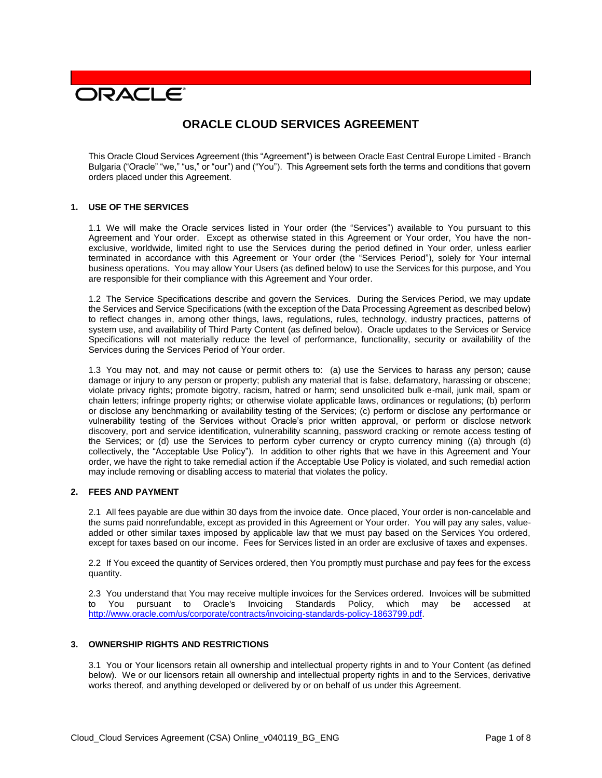# **DRACLE**

# **ORACLE CLOUD SERVICES AGREEMENT**

This Oracle Cloud Services Agreement (this "Agreement") is between Oracle East Central Europe Limited - Branch Bulgaria ("Oracle" "we," "us," or "our") and ("You"). This Agreement sets forth the terms and conditions that govern orders placed under this Agreement.

#### **1. USE OF THE SERVICES**

1.1 We will make the Oracle services listed in Your order (the "Services") available to You pursuant to this Agreement and Your order. Except as otherwise stated in this Agreement or Your order, You have the nonexclusive, worldwide, limited right to use the Services during the period defined in Your order, unless earlier terminated in accordance with this Agreement or Your order (the "Services Period"), solely for Your internal business operations. You may allow Your Users (as defined below) to use the Services for this purpose, and You are responsible for their compliance with this Agreement and Your order.

1.2 The Service Specifications describe and govern the Services. During the Services Period, we may update the Services and Service Specifications (with the exception of the Data Processing Agreement as described below) to reflect changes in, among other things, laws, regulations, rules, technology, industry practices, patterns of system use, and availability of Third Party Content (as defined below). Oracle updates to the Services or Service Specifications will not materially reduce the level of performance, functionality, security or availability of the Services during the Services Period of Your order.

1.3 You may not, and may not cause or permit others to: (a) use the Services to harass any person; cause damage or injury to any person or property; publish any material that is false, defamatory, harassing or obscene; violate privacy rights; promote bigotry, racism, hatred or harm; send unsolicited bulk e-mail, junk mail, spam or chain letters; infringe property rights; or otherwise violate applicable laws, ordinances or regulations; (b) perform or disclose any benchmarking or availability testing of the Services; (c) perform or disclose any performance or vulnerability testing of the Services without Oracle's prior written approval, or perform or disclose network discovery, port and service identification, vulnerability scanning, password cracking or remote access testing of the Services; or (d) use the Services to perform cyber currency or crypto currency mining ((a) through (d) collectively, the "Acceptable Use Policy"). In addition to other rights that we have in this Agreement and Your order, we have the right to take remedial action if the Acceptable Use Policy is violated, and such remedial action may include removing or disabling access to material that violates the policy.

### **2. FEES AND PAYMENT**

2.1 All fees payable are due within 30 days from the invoice date. Once placed, Your order is non-cancelable and the sums paid nonrefundable, except as provided in this Agreement or Your order. You will pay any sales, valueadded or other similar taxes imposed by applicable law that we must pay based on the Services You ordered, except for taxes based on our income. Fees for Services listed in an order are exclusive of taxes and expenses.

2.2 If You exceed the quantity of Services ordered, then You promptly must purchase and pay fees for the excess quantity.

2.3 You understand that You may receive multiple invoices for the Services ordered. Invoices will be submitted to You pursuant to Oracle's Invoicing Standards Policy, which may be accessed at [http://www.oracle.com/us/corporate/contracts/invoicing-standards-policy-1863799.pdf.](http://www.oracle.com/us/corporate/contracts/invoicing-standards-policy-1863799.pdf)

#### **3. OWNERSHIP RIGHTS AND RESTRICTIONS**

3.1 You or Your licensors retain all ownership and intellectual property rights in and to Your Content (as defined below). We or our licensors retain all ownership and intellectual property rights in and to the Services, derivative works thereof, and anything developed or delivered by or on behalf of us under this Agreement.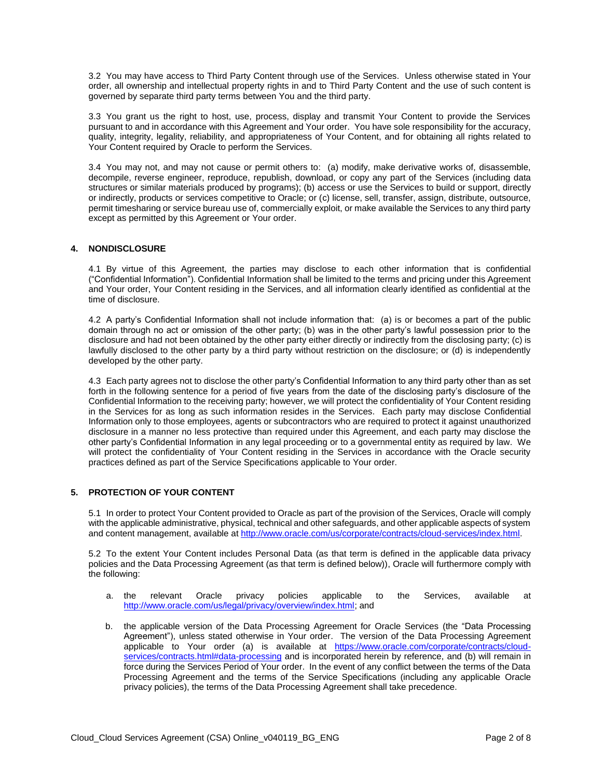3.2 You may have access to Third Party Content through use of the Services. Unless otherwise stated in Your order, all ownership and intellectual property rights in and to Third Party Content and the use of such content is governed by separate third party terms between You and the third party.

3.3 You grant us the right to host, use, process, display and transmit Your Content to provide the Services pursuant to and in accordance with this Agreement and Your order. You have sole responsibility for the accuracy, quality, integrity, legality, reliability, and appropriateness of Your Content, and for obtaining all rights related to Your Content required by Oracle to perform the Services.

3.4 You may not, and may not cause or permit others to: (a) modify, make derivative works of, disassemble, decompile, reverse engineer, reproduce, republish, download, or copy any part of the Services (including data structures or similar materials produced by programs); (b) access or use the Services to build or support, directly or indirectly, products or services competitive to Oracle; or (c) license, sell, transfer, assign, distribute, outsource, permit timesharing or service bureau use of, commercially exploit, or make available the Services to any third party except as permitted by this Agreement or Your order.

### **4. NONDISCLOSURE**

4.1 By virtue of this Agreement, the parties may disclose to each other information that is confidential ("Confidential Information"). Confidential Information shall be limited to the terms and pricing under this Agreement and Your order, Your Content residing in the Services, and all information clearly identified as confidential at the time of disclosure.

4.2 A party's Confidential Information shall not include information that: (a) is or becomes a part of the public domain through no act or omission of the other party; (b) was in the other party's lawful possession prior to the disclosure and had not been obtained by the other party either directly or indirectly from the disclosing party; (c) is lawfully disclosed to the other party by a third party without restriction on the disclosure; or (d) is independently developed by the other party.

4.3 Each party agrees not to disclose the other party's Confidential Information to any third party other than as set forth in the following sentence for a period of five years from the date of the disclosing party's disclosure of the Confidential Information to the receiving party; however, we will protect the confidentiality of Your Content residing in the Services for as long as such information resides in the Services. Each party may disclose Confidential Information only to those employees, agents or subcontractors who are required to protect it against unauthorized disclosure in a manner no less protective than required under this Agreement, and each party may disclose the other party's Confidential Information in any legal proceeding or to a governmental entity as required by law. We will protect the confidentiality of Your Content residing in the Services in accordance with the Oracle security practices defined as part of the Service Specifications applicable to Your order.

## **5. PROTECTION OF YOUR CONTENT**

5.1 In order to protect Your Content provided to Oracle as part of the provision of the Services, Oracle will comply with the applicable administrative, physical, technical and other safeguards, and other applicable aspects of system and content management, available at [http://www.oracle.com/us/corporate/contracts/cloud-services/index.html.](http://www.oracle.com/us/corporate/contracts/cloud-services/index.html)

5.2 To the extent Your Content includes Personal Data (as that term is defined in the applicable data privacy policies and the Data Processing Agreement (as that term is defined below)), Oracle will furthermore comply with the following:

- a. the relevant Oracle privacy policies applicable to the Services, available at [http://www.oracle.com/us/legal/privacy/overview/index.html;](http://www.oracle.com/us/legal/privacy/overview/index.html) and
- b. the applicable version of the Data Processing Agreement for Oracle Services (the "Data Processing Agreement"), unless stated otherwise in Your order. The version of the Data Processing Agreement applicable to Your order (a) is available at [https://www.oracle.com/corporate/contracts/cloud](https://www.oracle.com/corporate/contracts/cloud-services/contracts.html#data-processing)[services/contracts.html#data-processing](https://www.oracle.com/corporate/contracts/cloud-services/contracts.html#data-processing) and is incorporated herein by reference, and (b) will remain in force during the Services Period of Your order. In the event of any conflict between the terms of the Data Processing Agreement and the terms of the Service Specifications (including any applicable Oracle privacy policies), the terms of the Data Processing Agreement shall take precedence.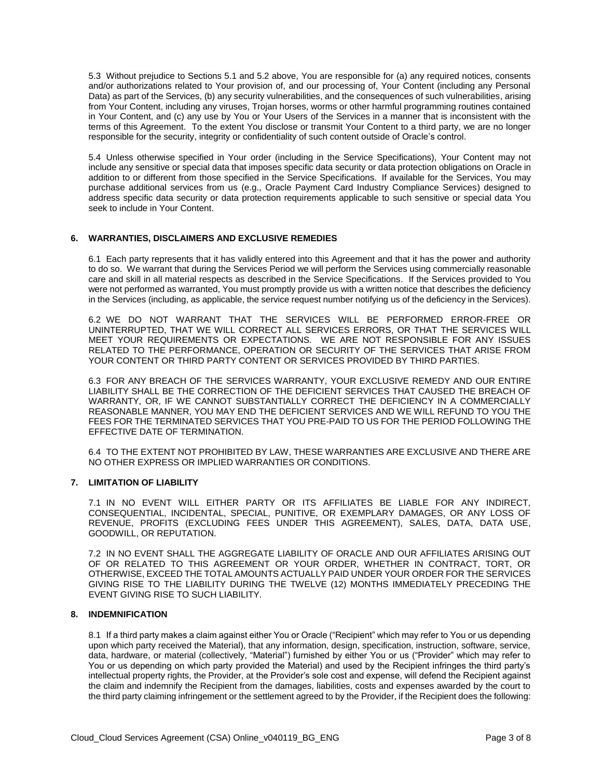5.3 Without prejudice to Sections 5.1 and 5.2 above, You are responsible for (a) any required notices, consents and/or authorizations related to Your provision of, and our processing of, Your Content (including any Personal Data) as part of the Services, (b) any security vulnerabilities, and the consequences of such vulnerabilities, arising from Your Content, including any viruses, Trojan horses, worms or other harmful programming routines contained in Your Content, and (c) any use by You or Your Users of the Services in a manner that is inconsistent with the terms of this Agreement. To the extent You disclose or transmit Your Content to a third party, we are no longer responsible for the security, integrity or confidentiality of such content outside of Oracle's control.

5.4 Unless otherwise specified in Your order (including in the Service Specifications), Your Content may not include any sensitive or special data that imposes specific data security or data protection obligations on Oracle in addition to or different from those specified in the Service Specifications. If available for the Services, You may purchase additional services from us (e.g., Oracle Payment Card Industry Compliance Services) designed to address specific data security or data protection requirements applicable to such sensitive or special data You seek to include in Your Content.

#### **6. WARRANTIES, DISCLAIMERS AND EXCLUSIVE REMEDIES**

6.1 Each party represents that it has validly entered into this Agreement and that it has the power and authority to do so. We warrant that during the Services Period we will perform the Services using commercially reasonable care and skill in all material respects as described in the Service Specifications. If the Services provided to You were not performed as warranted, You must promptly provide us with a written notice that describes the deficiency in the Services (including, as applicable, the service request number notifying us of the deficiency in the Services).

6.2 WE DO NOT WARRANT THAT THE SERVICES WILL BE PERFORMED ERROR-FREE OR UNINTERRUPTED, THAT WE WILL CORRECT ALL SERVICES ERRORS, OR THAT THE SERVICES WILL MEET YOUR REQUIREMENTS OR EXPECTATIONS. WE ARE NOT RESPONSIBLE FOR ANY ISSUES RELATED TO THE PERFORMANCE, OPERATION OR SECURITY OF THE SERVICES THAT ARISE FROM YOUR CONTENT OR THIRD PARTY CONTENT OR SERVICES PROVIDED BY THIRD PARTIES.

6.3 FOR ANY BREACH OF THE SERVICES WARRANTY, YOUR EXCLUSIVE REMEDY AND OUR ENTIRE LIABILITY SHALL BE THE CORRECTION OF THE DEFICIENT SERVICES THAT CAUSED THE BREACH OF WARRANTY, OR, IF WE CANNOT SUBSTANTIALLY CORRECT THE DEFICIENCY IN A COMMERCIALLY REASONABLE MANNER, YOU MAY END THE DEFICIENT SERVICES AND WE WILL REFUND TO YOU THE FEES FOR THE TERMINATED SERVICES THAT YOU PRE-PAID TO US FOR THE PERIOD FOLLOWING THE EFFECTIVE DATE OF TERMINATION.

6.4 TO THE EXTENT NOT PROHIBITED BY LAW, THESE WARRANTIES ARE EXCLUSIVE AND THERE ARE NO OTHER EXPRESS OR IMPLIED WARRANTIES OR CONDITIONS.

# **7. LIMITATION OF LIABILITY**

7.1 IN NO EVENT WILL EITHER PARTY OR ITS AFFILIATES BE LIABLE FOR ANY INDIRECT, CONSEQUENTIAL, INCIDENTAL, SPECIAL, PUNITIVE, OR EXEMPLARY DAMAGES, OR ANY LOSS OF REVENUE, PROFITS (EXCLUDING FEES UNDER THIS AGREEMENT), SALES, DATA, DATA USE, GOODWILL, OR REPUTATION.

7.2 IN NO EVENT SHALL THE AGGREGATE LIABILITY OF ORACLE AND OUR AFFILIATES ARISING OUT OF OR RELATED TO THIS AGREEMENT OR YOUR ORDER, WHETHER IN CONTRACT, TORT, OR OTHERWISE, EXCEED THE TOTAL AMOUNTS ACTUALLY PAID UNDER YOUR ORDER FOR THE SERVICES GIVING RISE TO THE LIABILITY DURING THE TWELVE (12) MONTHS IMMEDIATELY PRECEDING THE EVENT GIVING RISE TO SUCH LIABILITY.

#### **8. INDEMNIFICATION**

8.1 If a third party makes a claim against either You or Oracle ("Recipient" which may refer to You or us depending upon which party received the Material), that any information, design, specification, instruction, software, service, data, hardware, or material (collectively, "Material") furnished by either You or us ("Provider" which may refer to You or us depending on which party provided the Material) and used by the Recipient infringes the third party's intellectual property rights, the Provider, at the Provider's sole cost and expense, will defend the Recipient against the claim and indemnify the Recipient from the damages, liabilities, costs and expenses awarded by the court to the third party claiming infringement or the settlement agreed to by the Provider, if the Recipient does the following: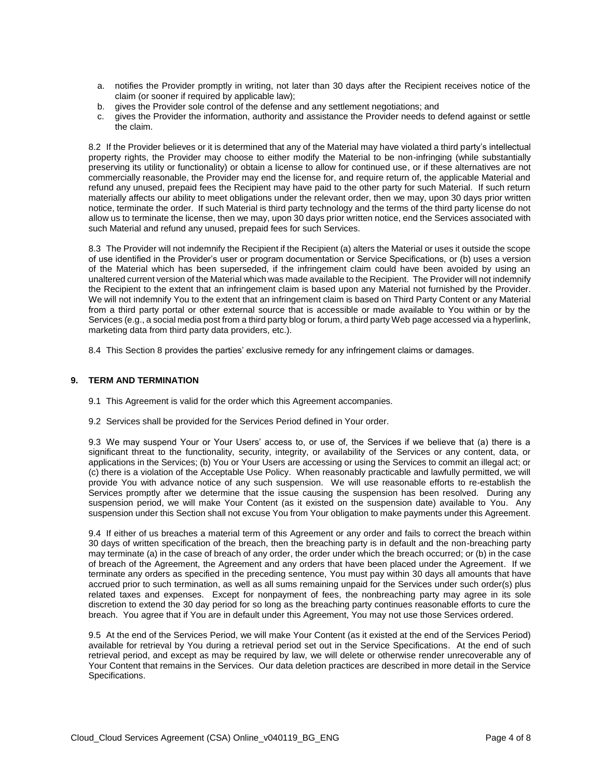- a. notifies the Provider promptly in writing, not later than 30 days after the Recipient receives notice of the claim (or sooner if required by applicable law);
- b. gives the Provider sole control of the defense and any settlement negotiations; and
- c. gives the Provider the information, authority and assistance the Provider needs to defend against or settle the claim.

8.2 If the Provider believes or it is determined that any of the Material may have violated a third party's intellectual property rights, the Provider may choose to either modify the Material to be non-infringing (while substantially preserving its utility or functionality) or obtain a license to allow for continued use, or if these alternatives are not commercially reasonable, the Provider may end the license for, and require return of, the applicable Material and refund any unused, prepaid fees the Recipient may have paid to the other party for such Material. If such return materially affects our ability to meet obligations under the relevant order, then we may, upon 30 days prior written notice, terminate the order. If such Material is third party technology and the terms of the third party license do not allow us to terminate the license, then we may, upon 30 days prior written notice, end the Services associated with such Material and refund any unused, prepaid fees for such Services.

8.3 The Provider will not indemnify the Recipient if the Recipient (a) alters the Material or uses it outside the scope of use identified in the Provider's user or program documentation or Service Specifications, or (b) uses a version of the Material which has been superseded, if the infringement claim could have been avoided by using an unaltered current version of the Material which was made available to the Recipient. The Provider will not indemnify the Recipient to the extent that an infringement claim is based upon any Material not furnished by the Provider. We will not indemnify You to the extent that an infringement claim is based on Third Party Content or any Material from a third party portal or other external source that is accessible or made available to You within or by the Services (e.g., a social media post from a third party blog or forum, a third party Web page accessed via a hyperlink, marketing data from third party data providers, etc.).

8.4 This Section 8 provides the parties' exclusive remedy for any infringement claims or damages.

#### **9. TERM AND TERMINATION**

- 9.1 This Agreement is valid for the order which this Agreement accompanies.
- 9.2 Services shall be provided for the Services Period defined in Your order.

9.3 We may suspend Your or Your Users' access to, or use of, the Services if we believe that (a) there is a significant threat to the functionality, security, integrity, or availability of the Services or any content, data, or applications in the Services; (b) You or Your Users are accessing or using the Services to commit an illegal act; or (c) there is a violation of the Acceptable Use Policy. When reasonably practicable and lawfully permitted, we will provide You with advance notice of any such suspension. We will use reasonable efforts to re-establish the Services promptly after we determine that the issue causing the suspension has been resolved. During any suspension period, we will make Your Content (as it existed on the suspension date) available to You. Any suspension under this Section shall not excuse You from Your obligation to make payments under this Agreement.

9.4 If either of us breaches a material term of this Agreement or any order and fails to correct the breach within 30 days of written specification of the breach, then the breaching party is in default and the non-breaching party may terminate (a) in the case of breach of any order, the order under which the breach occurred; or (b) in the case of breach of the Agreement, the Agreement and any orders that have been placed under the Agreement. If we terminate any orders as specified in the preceding sentence, You must pay within 30 days all amounts that have accrued prior to such termination, as well as all sums remaining unpaid for the Services under such order(s) plus related taxes and expenses. Except for nonpayment of fees, the nonbreaching party may agree in its sole discretion to extend the 30 day period for so long as the breaching party continues reasonable efforts to cure the breach. You agree that if You are in default under this Agreement, You may not use those Services ordered.

9.5 At the end of the Services Period, we will make Your Content (as it existed at the end of the Services Period) available for retrieval by You during a retrieval period set out in the Service Specifications. At the end of such retrieval period, and except as may be required by law, we will delete or otherwise render unrecoverable any of Your Content that remains in the Services. Our data deletion practices are described in more detail in the Service Specifications.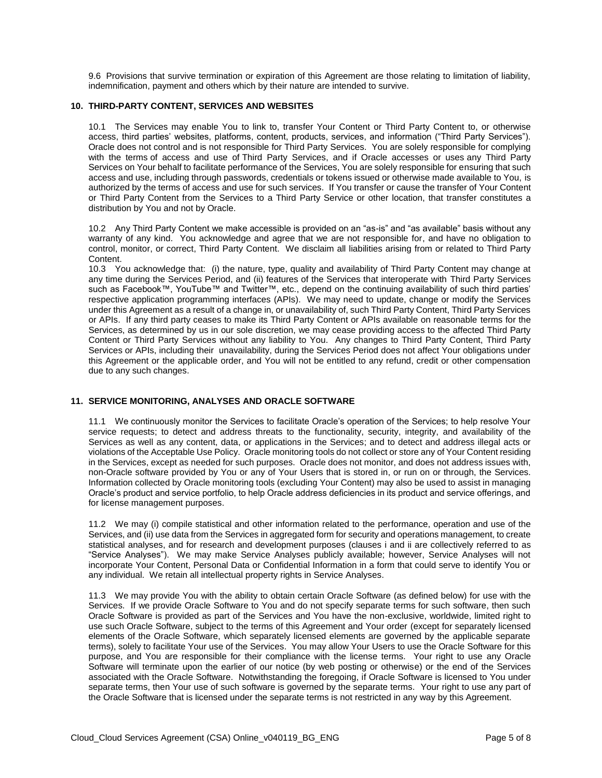9.6 Provisions that survive termination or expiration of this Agreement are those relating to limitation of liability, indemnification, payment and others which by their nature are intended to survive.

#### **10. THIRD-PARTY CONTENT, SERVICES AND WEBSITES**

10.1 The Services may enable You to link to, transfer Your Content or Third Party Content to, or otherwise access, third parties' websites, platforms, content, products, services, and information ("Third Party Services"). Oracle does not control and is not responsible for Third Party Services. You are solely responsible for complying with the terms of access and use of Third Party Services, and if Oracle accesses or uses any Third Party Services on Your behalf to facilitate performance of the Services, You are solely responsible for ensuring that such access and use, including through passwords, credentials or tokens issued or otherwise made available to You, is authorized by the terms of access and use for such services. If You transfer or cause the transfer of Your Content or Third Party Content from the Services to a Third Party Service or other location, that transfer constitutes a distribution by You and not by Oracle.

10.2 Any Third Party Content we make accessible is provided on an "as-is" and "as available" basis without any warranty of any kind. You acknowledge and agree that we are not responsible for, and have no obligation to control, monitor, or correct, Third Party Content. We disclaim all liabilities arising from or related to Third Party Content.

10.3 You acknowledge that: (i) the nature, type, quality and availability of Third Party Content may change at any time during the Services Period, and (ii) features of the Services that interoperate with Third Party Services such as Facebook™, YouTube™ and Twitter™, etc., depend on the continuing availability of such third parties' respective application programming interfaces (APIs). We may need to update, change or modify the Services under this Agreement as a result of a change in, or unavailability of, such Third Party Content, Third Party Services or APIs. If any third party ceases to make its Third Party Content or APIs available on reasonable terms for the Services, as determined by us in our sole discretion, we may cease providing access to the affected Third Party Content or Third Party Services without any liability to You. Any changes to Third Party Content, Third Party Services or APIs, including their unavailability, during the Services Period does not affect Your obligations under this Agreement or the applicable order, and You will not be entitled to any refund, credit or other compensation due to any such changes.

# **11. SERVICE MONITORING, ANALYSES AND ORACLE SOFTWARE**

11.1 We continuously monitor the Services to facilitate Oracle's operation of the Services; to help resolve Your service requests; to detect and address threats to the functionality, security, integrity, and availability of the Services as well as any content, data, or applications in the Services; and to detect and address illegal acts or violations of the Acceptable Use Policy. Oracle monitoring tools do not collect or store any of Your Content residing in the Services, except as needed for such purposes. Oracle does not monitor, and does not address issues with, non-Oracle software provided by You or any of Your Users that is stored in, or run on or through, the Services. Information collected by Oracle monitoring tools (excluding Your Content) may also be used to assist in managing Oracle's product and service portfolio, to help Oracle address deficiencies in its product and service offerings, and for license management purposes.

11.2 We may (i) compile statistical and other information related to the performance, operation and use of the Services, and (ii) use data from the Services in aggregated form for security and operations management, to create statistical analyses, and for research and development purposes (clauses i and ii are collectively referred to as "Service Analyses"). We may make Service Analyses publicly available; however, Service Analyses will not incorporate Your Content, Personal Data or Confidential Information in a form that could serve to identify You or any individual. We retain all intellectual property rights in Service Analyses.

11.3 We may provide You with the ability to obtain certain Oracle Software (as defined below) for use with the Services. If we provide Oracle Software to You and do not specify separate terms for such software, then such Oracle Software is provided as part of the Services and You have the non-exclusive, worldwide, limited right to use such Oracle Software, subject to the terms of this Agreement and Your order (except for separately licensed elements of the Oracle Software, which separately licensed elements are governed by the applicable separate terms), solely to facilitate Your use of the Services. You may allow Your Users to use the Oracle Software for this purpose, and You are responsible for their compliance with the license terms. Your right to use any Oracle Software will terminate upon the earlier of our notice (by web posting or otherwise) or the end of the Services associated with the Oracle Software. Notwithstanding the foregoing, if Oracle Software is licensed to You under separate terms, then Your use of such software is governed by the separate terms. Your right to use any part of the Oracle Software that is licensed under the separate terms is not restricted in any way by this Agreement.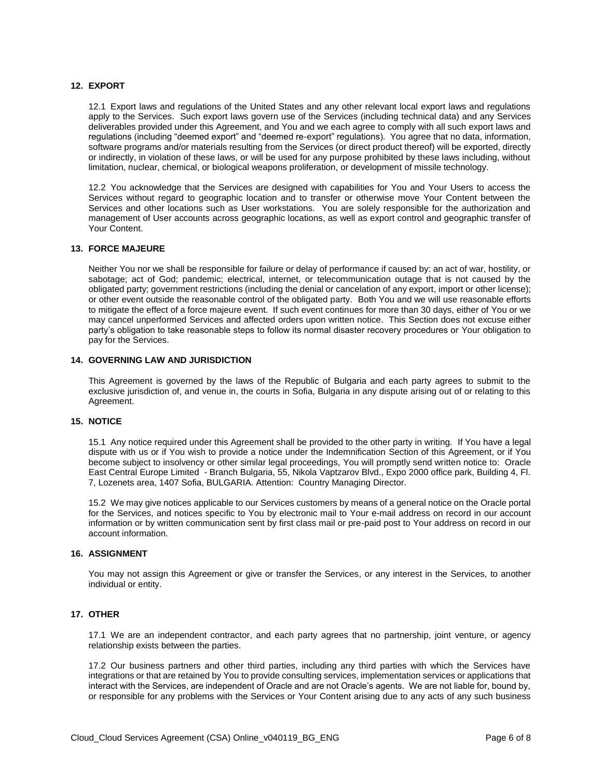#### **12. EXPORT**

12.1 Export laws and regulations of the United States and any other relevant local export laws and regulations apply to the Services. Such export laws govern use of the Services (including technical data) and any Services deliverables provided under this Agreement, and You and we each agree to comply with all such export laws and regulations (including "deemed export" and "deemed re-export" regulations). You agree that no data, information, software programs and/or materials resulting from the Services (or direct product thereof) will be exported, directly or indirectly, in violation of these laws, or will be used for any purpose prohibited by these laws including, without limitation, nuclear, chemical, or biological weapons proliferation, or development of missile technology.

12.2 You acknowledge that the Services are designed with capabilities for You and Your Users to access the Services without regard to geographic location and to transfer or otherwise move Your Content between the Services and other locations such as User workstations. You are solely responsible for the authorization and management of User accounts across geographic locations, as well as export control and geographic transfer of Your Content.

#### **13. FORCE MAJEURE**

Neither You nor we shall be responsible for failure or delay of performance if caused by: an act of war, hostility, or sabotage; act of God; pandemic; electrical, internet, or telecommunication outage that is not caused by the obligated party; government restrictions (including the denial or cancelation of any export, import or other license); or other event outside the reasonable control of the obligated party. Both You and we will use reasonable efforts to mitigate the effect of a force majeure event. If such event continues for more than 30 days, either of You or we may cancel unperformed Services and affected orders upon written notice. This Section does not excuse either party's obligation to take reasonable steps to follow its normal disaster recovery procedures or Your obligation to pay for the Services.

#### **14. GOVERNING LAW AND JURISDICTION**

This Agreement is governed by the laws of the Republic of Bulgaria and each party agrees to submit to the exclusive jurisdiction of, and venue in, the courts in Sofia, Bulgaria in any dispute arising out of or relating to this Agreement.

#### **15. NOTICE**

15.1 Any notice required under this Agreement shall be provided to the other party in writing. If You have a legal dispute with us or if You wish to provide a notice under the Indemnification Section of this Agreement, or if You become subject to insolvency or other similar legal proceedings, You will promptly send written notice to: Oracle East Central Europe Limited - Branch Bulgaria, 55, Nikola Vaptzarov Blvd., Expo 2000 office park, Building 4, Fl. 7, Lozenets area, 1407 Sofia, BULGARIA. Attention: Country Managing Director.

15.2 We may give notices applicable to our Services customers by means of a general notice on the Oracle portal for the Services, and notices specific to You by electronic mail to Your e-mail address on record in our account information or by written communication sent by first class mail or pre-paid post to Your address on record in our account information.

#### **16. ASSIGNMENT**

You may not assign this Agreement or give or transfer the Services, or any interest in the Services, to another individual or entity.

#### **17. OTHER**

17.1 We are an independent contractor, and each party agrees that no partnership, joint venture, or agency relationship exists between the parties.

17.2 Our business partners and other third parties, including any third parties with which the Services have integrations or that are retained by You to provide consulting services, implementation services or applications that interact with the Services, are independent of Oracle and are not Oracle's agents. We are not liable for, bound by, or responsible for any problems with the Services or Your Content arising due to any acts of any such business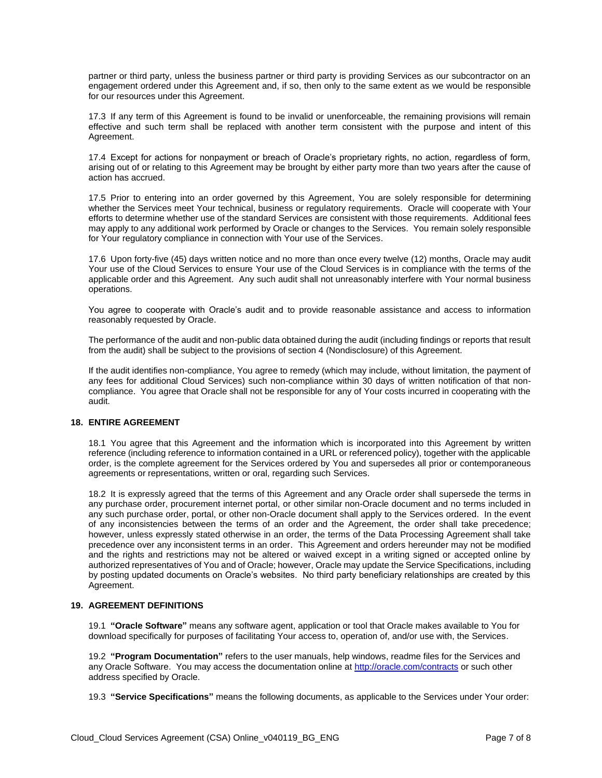partner or third party, unless the business partner or third party is providing Services as our subcontractor on an engagement ordered under this Agreement and, if so, then only to the same extent as we would be responsible for our resources under this Agreement.

17.3 If any term of this Agreement is found to be invalid or unenforceable, the remaining provisions will remain effective and such term shall be replaced with another term consistent with the purpose and intent of this Agreement.

17.4 Except for actions for nonpayment or breach of Oracle's proprietary rights, no action, regardless of form, arising out of or relating to this Agreement may be brought by either party more than two years after the cause of action has accrued.

17.5 Prior to entering into an order governed by this Agreement, You are solely responsible for determining whether the Services meet Your technical, business or regulatory requirements. Oracle will cooperate with Your efforts to determine whether use of the standard Services are consistent with those requirements. Additional fees may apply to any additional work performed by Oracle or changes to the Services. You remain solely responsible for Your regulatory compliance in connection with Your use of the Services.

17.6 Upon forty-five (45) days written notice and no more than once every twelve (12) months, Oracle may audit Your use of the Cloud Services to ensure Your use of the Cloud Services is in compliance with the terms of the applicable order and this Agreement. Any such audit shall not unreasonably interfere with Your normal business operations.

You agree to cooperate with Oracle's audit and to provide reasonable assistance and access to information reasonably requested by Oracle.

The performance of the audit and non-public data obtained during the audit (including findings or reports that result from the audit) shall be subject to the provisions of section 4 (Nondisclosure) of this Agreement.

If the audit identifies non-compliance, You agree to remedy (which may include, without limitation, the payment of any fees for additional Cloud Services) such non-compliance within 30 days of written notification of that noncompliance. You agree that Oracle shall not be responsible for any of Your costs incurred in cooperating with the audit.

#### **18. ENTIRE AGREEMENT**

18.1 You agree that this Agreement and the information which is incorporated into this Agreement by written reference (including reference to information contained in a URL or referenced policy), together with the applicable order, is the complete agreement for the Services ordered by You and supersedes all prior or contemporaneous agreements or representations, written or oral, regarding such Services.

18.2 It is expressly agreed that the terms of this Agreement and any Oracle order shall supersede the terms in any purchase order, procurement internet portal, or other similar non-Oracle document and no terms included in any such purchase order, portal, or other non-Oracle document shall apply to the Services ordered. In the event of any inconsistencies between the terms of an order and the Agreement, the order shall take precedence; however, unless expressly stated otherwise in an order, the terms of the Data Processing Agreement shall take precedence over any inconsistent terms in an order. This Agreement and orders hereunder may not be modified and the rights and restrictions may not be altered or waived except in a writing signed or accepted online by authorized representatives of You and of Oracle; however, Oracle may update the Service Specifications, including by posting updated documents on Oracle's websites. No third party beneficiary relationships are created by this Agreement.

# **19. AGREEMENT DEFINITIONS**

19.1 **"Oracle Software"** means any software agent, application or tool that Oracle makes available to You for download specifically for purposes of facilitating Your access to, operation of, and/or use with, the Services.

19.2 **"Program Documentation"** refers to the user manuals, help windows, readme files for the Services and any Oracle Software. You may access the documentation online a[t http://oracle.com/contracts](http://oracle.com/contracts) or such other address specified by Oracle.

19.3 **"Service Specifications"** means the following documents, as applicable to the Services under Your order: